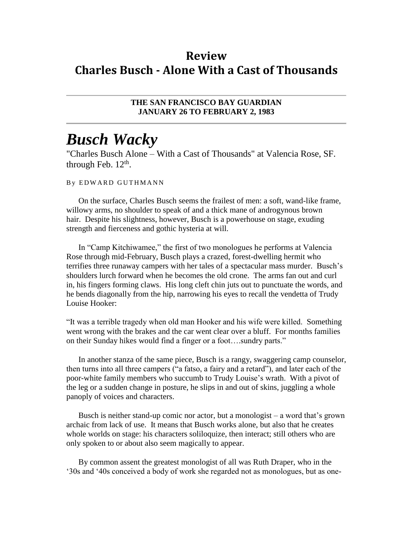## **Review Charles Busch - Alone With a Cast of Thousands**

## **THE SAN FRANCISCO BAY GUARDIAN JANUARY 26 TO FEBRUARY 2, 1983**

## *Busch Wacky*

"Charles Busch Alone – With a Cast of Thousands" at Valencia Rose, SF. through Feb.  $12<sup>th</sup>$ .

## By EDWARD GUTHMANN

On the surface, Charles Busch seems the frailest of men: a soft, wand-like frame, willowy arms, no shoulder to speak of and a thick mane of androgynous brown hair. Despite his slightness, however, Busch is a powerhouse on stage, exuding strength and fierceness and gothic hysteria at will.

In "Camp Kitchiwamee," the first of two monologues he performs at Valencia Rose through mid-February, Busch plays a crazed, forest-dwelling hermit who terrifies three runaway campers with her tales of a spectacular mass murder. Busch's shoulders lurch forward when he becomes the old crone. The arms fan out and curl in, his fingers forming claws. His long cleft chin juts out to punctuate the words, and he bends diagonally from the hip, narrowing his eyes to recall the vendetta of Trudy Louise Hooker:

"It was a terrible tragedy when old man Hooker and his wife were killed. Something went wrong with the brakes and the car went clear over a bluff. For months families on their Sunday hikes would find a finger or a foot….sundry parts."

In another stanza of the same piece, Busch is a rangy, swaggering camp counselor, then turns into all three campers ("a fatso, a fairy and a retard"), and later each of the poor-white family members who succumb to Trudy Louise's wrath. With a pivot of the leg or a sudden change in posture, he slips in and out of skins, juggling a whole panoply of voices and characters.

Busch is neither stand-up comic nor actor, but a monologist – a word that's grown archaic from lack of use. It means that Busch works alone, but also that he creates whole worlds on stage: his characters soliloquize, then interact; still others who are only spoken to or about also seem magically to appear.

By common assent the greatest monologist of all was Ruth Draper, who in the '30s and '40s conceived a body of work she regarded not as monologues, but as one